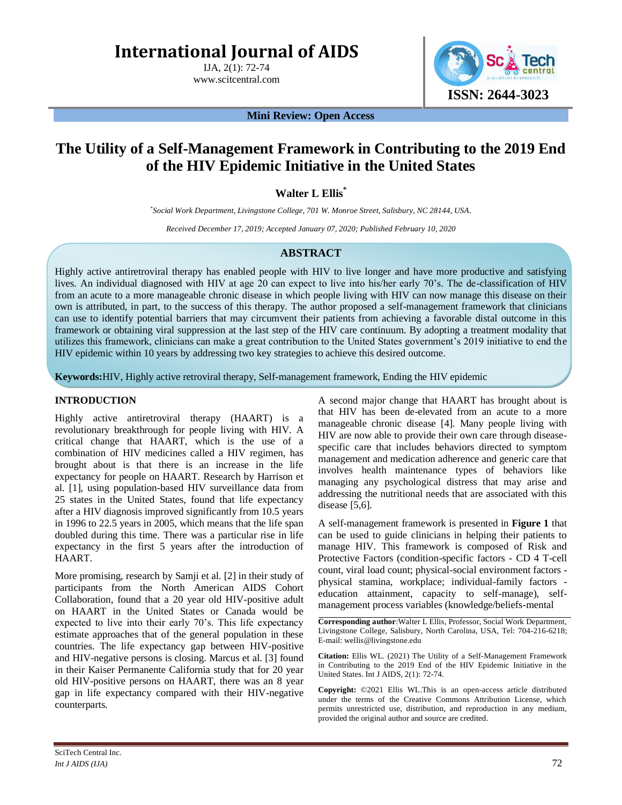# **International Journal of AIDS**

IJA, 2(1): 72-74

www.scitcentral.com



**Mini Review: Open Access**

## **The Utility of a Self-Management Framework in Contributing to the 2019 End of the HIV Epidemic Initiative in the United States**

### **Walter L Ellis\***

*\* Social Work Department, Livingstone College, 701 W. Monroe Street, Salisbury, NC 28144, USA.*

*Received December 17, 2019; Accepted January 07, 2020; Published February 10, 2020*

#### **ABSTRACT**

Highly active antiretroviral therapy has enabled people with HIV to live longer and have more productive and satisfying lives. An individual diagnosed with HIV at age 20 can expect to live into his/her early 70's. The de-classification of HIV from an acute to a more manageable chronic disease in which people living with HIV can now manage this disease on their own is attributed, in part, to the success of this therapy. The author proposed a self-management framework that clinicians can use to identify potential barriers that may circumvent their patients from achieving a favorable distal outcome in this framework or obtaining viral suppression at the last step of the HIV care continuum. By adopting a treatment modality that utilizes this framework, clinicians can make a great contribution to the United States government's 2019 initiative to end the HIV epidemic within 10 years by addressing two key strategies to achieve this desired outcome.

**Keywords:**HIV, Highly active retroviral therapy, Self-management framework, Ending the HIV epidemic

#### **INTRODUCTION**

Highly active antiretroviral therapy (HAART) is a revolutionary breakthrough for people living with HIV. A critical change that HAART, which is the use of a combination of HIV medicines called a HIV regimen, has brought about is that there is an increase in the life expectancy for people on HAART. Research by Harrison et al. [1], using population-based HIV surveillance data from 25 states in the United States, found that life expectancy after a HIV diagnosis improved significantly from 10.5 years in 1996 to 22.5 years in 2005, which means that the life span doubled during this time. There was a particular rise in life expectancy in the first 5 years after the introduction of HAART.

More promising, research by Samji et al. [2] in their study of participants from the North American AIDS Cohort Collaboration, found that a 20 year old HIV-positive adult on HAART in the United States or Canada would be expected to live into their early 70's. This life expectancy estimate approaches that of the general population in these countries. The life expectancy gap between HIV-positive and HIV-negative persons is closing. Marcus et al. [3] found in their Kaiser Permanente California study that for 20 year old HIV-positive persons on HAART, there was an 8 year gap in life expectancy compared with their HIV-negative counterparts.

A second major change that HAART has brought about is that HIV has been de-elevated from an acute to a more manageable chronic disease [4]. Many people living with HIV are now able to provide their own care through diseasespecific care that includes behaviors directed to symptom management and medication adherence and generic care that involves health maintenance types of behaviors like managing any psychological distress that may arise and addressing the nutritional needs that are associated with this disease [5,6].

A self-management framework is presented in **Figure 1** that can be used to guide clinicians in helping their patients to manage HIV. This framework is composed of Risk and Protective Factors (condition-specific factors - CD 4 T-cell count, viral load count; physical-social environment factors physical stamina, workplace; individual-family factors education attainment, capacity to self-manage), selfmanagement process variables (knowledge/beliefs-mental

**Corresponding author**:Walter L Ellis, Professor, Social Work Department, Livingstone College, Salisbury, North Carolina, USA, Tel: 704-216-6218; E-mail: wellis@livingstone.edu

**Citation:** Ellis WL. (2021) The Utility of a Self-Management Framework in Contributing to the 2019 End of the HIV Epidemic Initiative in the United States. Int J AIDS, 2(1): 72-74.

**Copyright:** ©2021 Ellis WL.This is an open-access article distributed under the terms of the Creative Commons Attribution License, which permits unrestricted use, distribution, and reproduction in any medium, provided the original author and source are credited.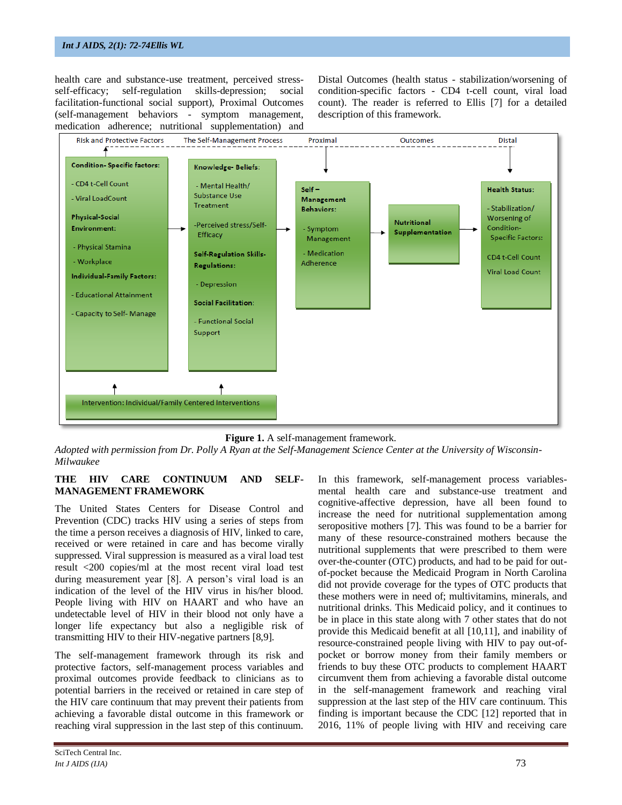#### *Int J AIDS, 2(1): 72-74Ellis WL*

health care and substance-use treatment, perceived stressself-efficacy; self-regulation skills-depression; social facilitation-functional social support), Proximal Outcomes (self-management behaviors - symptom management, medication adherence; nutritional supplementation) and Distal Outcomes (health status - stabilization/worsening of condition-specific factors - CD4 t-cell count, viral load count). The reader is referred to Ellis [7] for a detailed description of this framework.



**Figure 1.** A self-management framework.

*Adopted with permission from Dr. Polly A Ryan at the Self-Management Science Center at the University of Wisconsin-Milwaukee*

#### **THE HIV CARE CONTINUUM AND SELF-MANAGEMENT FRAMEWORK**

The United States Centers for Disease Control and Prevention (CDC) tracks HIV using a series of steps from the time a person receives a diagnosis of HIV, linked to care, received or were retained in care and has become virally suppressed. Viral suppression is measured as a viral load test result <200 copies/ml at the most recent viral load test during measurement year [8]. A person's viral load is an indication of the level of the HIV virus in his/her blood. People living with HIV on HAART and who have an undetectable level of HIV in their blood not only have a longer life expectancy but also a negligible risk of transmitting HIV to their HIV-negative partners [8,9].

The self-management framework through its risk and protective factors, self-management process variables and proximal outcomes provide feedback to clinicians as to potential barriers in the received or retained in care step of the HIV care continuum that may prevent their patients from achieving a favorable distal outcome in this framework or reaching viral suppression in the last step of this continuum.

SciTech Central Inc*. Int J AIDS (IJA)* 73

In this framework, self-management process variablesmental health care and substance-use treatment and cognitive-affective depression, have all been found to increase the need for nutritional supplementation among seropositive mothers [7]. This was found to be a barrier for many of these resource-constrained mothers because the nutritional supplements that were prescribed to them were over-the-counter (OTC) products, and had to be paid for outof-pocket because the Medicaid Program in North Carolina did not provide coverage for the types of OTC products that these mothers were in need of; multivitamins, minerals, and nutritional drinks. This Medicaid policy, and it continues to be in place in this state along with 7 other states that do not provide this Medicaid benefit at all [10,11], and inability of resource-constrained people living with HIV to pay out-ofpocket or borrow money from their family members or friends to buy these OTC products to complement HAART circumvent them from achieving a favorable distal outcome in the self-management framework and reaching viral suppression at the last step of the HIV care continuum. This finding is important because the CDC [12] reported that in 2016, 11% of people living with HIV and receiving care